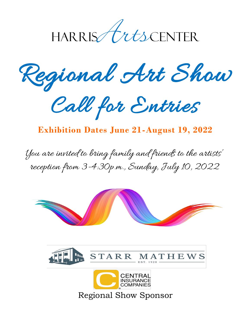

Regional Art Show



## **Exhibition Dates June 21-August 19, 2022**

You are invited to bring family and friends to the artists' reception from 3-4:30p.m., Sunday, July 10, 2022





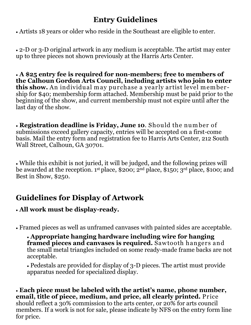## **Entry Guidelines**

Artists 18 years or older who reside in the Southeast are eligible to enter.

 2-D or 3-D original artwork in any medium is acceptable. The artist may enter up to three pieces not shown previously at the Harris Arts Center.

 **A \$25 entry fee is required for non-members; free to members of the Calhoun Gordon Arts Council, including artists who join to enter this show.** An individual may purchase a yearly artist level membership for \$40; membership form attached. Membership must be paid prior to the beginning of the show, and current membership must not expire until after the last day of the show.

 **Registration deadline is Friday, June 10**. Should the num ber of submissions exceed gallery capacity, entries will be accepted on a first-come basis. Mail the entry form and registration fee to Harris Arts Center, 212 South Wall Street, Calhoun, GA 30701.

 While this exhibit is not juried, it will be judged, and the following prizes will be awarded at the reception. 1st place, \$200; 2nd place, \$150; 3rd place, \$100; and Best in Show, \$250.

# **Guidelines for Display of Artwork**

### **All work must be display-ready.**

Framed pieces as well as unframed canvases with painted sides are acceptable.

 **Appropriate hanging hardware including wire for hanging**  framed pieces and canvases is required. Sawtooth hangers and the small metal triangles included on some ready-made frame backs are not acceptable.

 Pedestals are provided for display of 3-D pieces. The artist must provide apparatus needed for specialized display.

 **Each piece must be labeled with the artist's name, phone number, email, title of piece, medium, and price, all clearly printed.** Price should reflect a 30% commission to the arts center, or 20% for arts council members. If a work is not for sale, please indicate by NFS on the entry form line for price.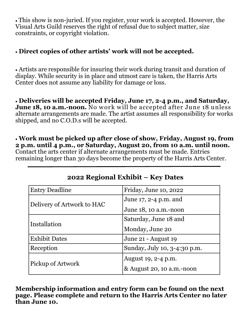This show is non-juried. If you register, your work is accepted. However, the Visual Arts Guild reserves the right of refusal due to subject matter, size constraints, or copyright violation.

### **Direct copies of other artists' work will not be accepted.**

 Artists are responsible for insuring their work during transit and duration of display. While security is in place and utmost care is taken, the Harris Arts Center does not assume any liability for damage or loss.

 **Deliveries will be accepted Friday, June 17, 2-4 p.m., and Saturday, June 18, 10 a.m.-noon.** No work will be accepted after June 18 unless alternate arrangements are made. The artist assumes all responsibility for works shipped, and no C.O.D.s will be accepted.

 **Work must be picked up after close of show, Friday, August 19, from 2 p.m. until 4 p.m., or Saturday, August 20, from 10 a.m. until noon.** Contact the arts center if alternate arrangements must be made. Entries remaining longer than 30 days become the property of the Harris Arts Center.

| <b>Entry Deadline</b>      | Friday, June 10, 2022        |
|----------------------------|------------------------------|
| Delivery of Artwork to HAC | June 17, 2-4 p.m. and        |
|                            | June 18, 10 a.m.-noon        |
| Installation               | Saturday, June 18 and        |
|                            | Monday, June 20              |
| <b>Exhibit Dates</b>       | June 21 - August 19          |
| Reception                  | Sunday, July 10, 3-4:30 p.m. |
| Pickup of Artwork          | August 19, 2-4 p.m.          |
|                            | & August 20, 10 a.m.-noon    |

### **2022 Regional Exhibit – Key Dates**

**Membership information and entry form can be found on the next page. Please complete and return to the Harris Arts Center no later than June 10.**